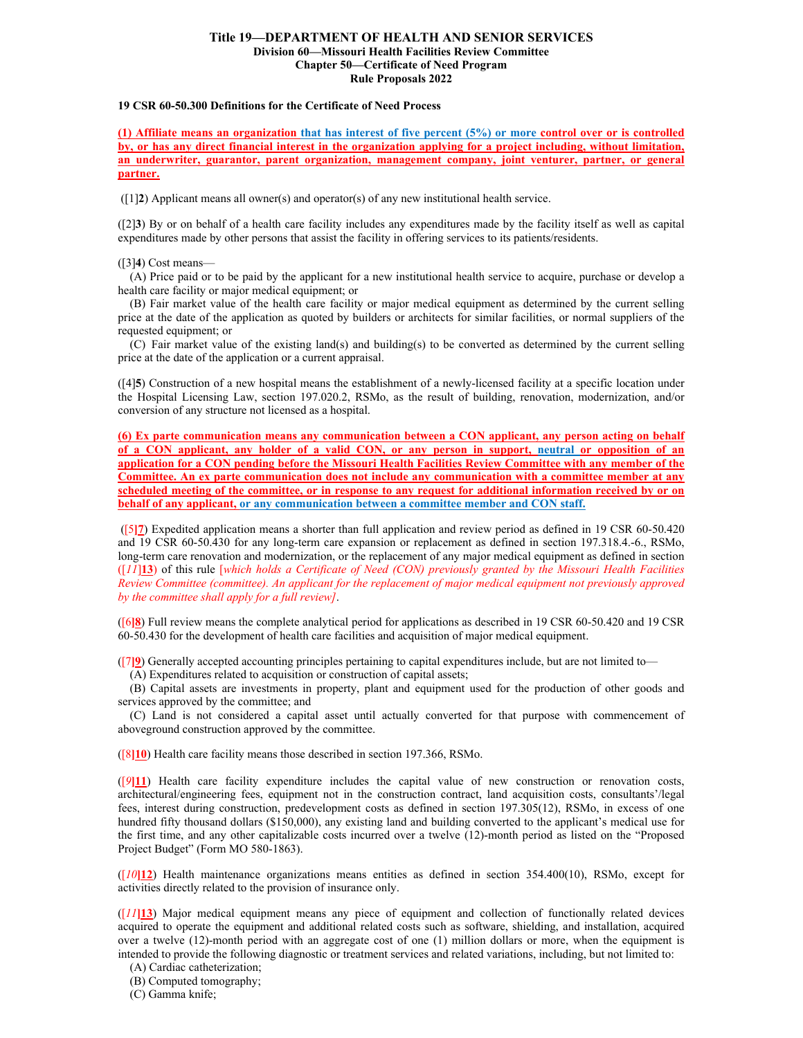## **Title 19—DEPARTMENT OF HEALTH AND SENIOR SERVICES Division 60—Missouri Health Facilities Review Committee Chapter 50—Certificate of Need Program Rule Proposals 2022**

#### **19 CSR 60-50.300 Definitions for the Certificate of Need Process**

**(1) Affiliate means an organization that has interest of five percent (5%) or more control over or is controlled by, or has any direct financial interest in the organization applying for a project including, without limitation, an underwriter, guarantor, parent organization, management company, joint venturer, partner, or general partner.**

([1]**2**) Applicant means all owner(s) and operator(s) of any new institutional health service.

([2]**3**) By or on behalf of a health care facility includes any expenditures made by the facility itself as well as capital expenditures made by other persons that assist the facility in offering services to its patients/residents.

([3]**4**) Cost means—

(A) Price paid or to be paid by the applicant for a new institutional health service to acquire, purchase or develop a health care facility or major medical equipment; or

(B) Fair market value of the health care facility or major medical equipment as determined by the current selling price at the date of the application as quoted by builders or architects for similar facilities, or normal suppliers of the requested equipment; or

(C) Fair market value of the existing land(s) and building(s) to be converted as determined by the current selling price at the date of the application or a current appraisal.

([4]**5**) Construction of a new hospital means the establishment of a newly-licensed facility at a specific location under the Hospital Licensing Law, section 197.020.2, RSMo, as the result of building, renovation, modernization, and/or conversion of any structure not licensed as a hospital.

**(6) Ex parte communication means any communication between a CON applicant, any person acting on behalf of a CON applicant, any holder of a valid CON, or any person in support, neutral or opposition of an application for a CON pending before the Missouri Health Facilities Review Committee with any member of the Committee. An ex parte communication does not include any communication with a committee member at any scheduled meeting of the committee, or in response to any request for additional information received by or on behalf of any applicant, or any communication between a committee member and CON staff.**

([5**]7**) Expedited application means a shorter than full application and review period as defined in 19 CSR 60-50.420 and 19 CSR 60-50.430 for any long-term care expansion or replacement as defined in section 197.318.4.-6., RSMo, long-term care renovation and modernization, or the replacement of any major medical equipment as defined in section ([*11*]**13**) of this rule [*which holds a Certificate of Need (CON) previously granted by the Missouri Health Facilities Review Committee (committee). An applicant for the replacement of major medical equipment not previously approved by the committee shall apply for a full review]*.

([6**]8**) Full review means the complete analytical period for applications as described in 19 CSR 60-50.420 and 19 CSR 60-50.430 for the development of health care facilities and acquisition of major medical equipment.

([7**]9**) Generally accepted accounting principles pertaining to capital expenditures include, but are not limited to—

(A) Expenditures related to acquisition or construction of capital assets;

(B) Capital assets are investments in property, plant and equipment used for the production of other goods and services approved by the committee; and

(C) Land is not considered a capital asset until actually converted for that purpose with commencement of aboveground construction approved by the committee.

([8**]10**) Health care facility means those described in section 197.366, RSMo.

([*9***]11**) Health care facility expenditure includes the capital value of new construction or renovation costs, architectural/engineering fees, equipment not in the construction contract, land acquisition costs, consultants'/legal fees, interest during construction, predevelopment costs as defined in section 197.305(12), RSMo, in excess of one hundred fifty thousand dollars (\$150,000), any existing land and building converted to the applicant's medical use for the first time, and any other capitalizable costs incurred over a twelve (12)-month period as listed on the "Proposed Project Budget" (Form MO 580-1863).

([*10***]12**) Health maintenance organizations means entities as defined in section 354.400(10), RSMo, except for activities directly related to the provision of insurance only.

([*11***]13**) Major medical equipment means any piece of equipment and collection of functionally related devices acquired to operate the equipment and additional related costs such as software, shielding, and installation, acquired over a twelve (12)-month period with an aggregate cost of one (1) million dollars or more, when the equipment is intended to provide the following diagnostic or treatment services and related variations, including, but not limited to:

(A) Cardiac catheterization;

(B) Computed tomography;

(C) Gamma knife;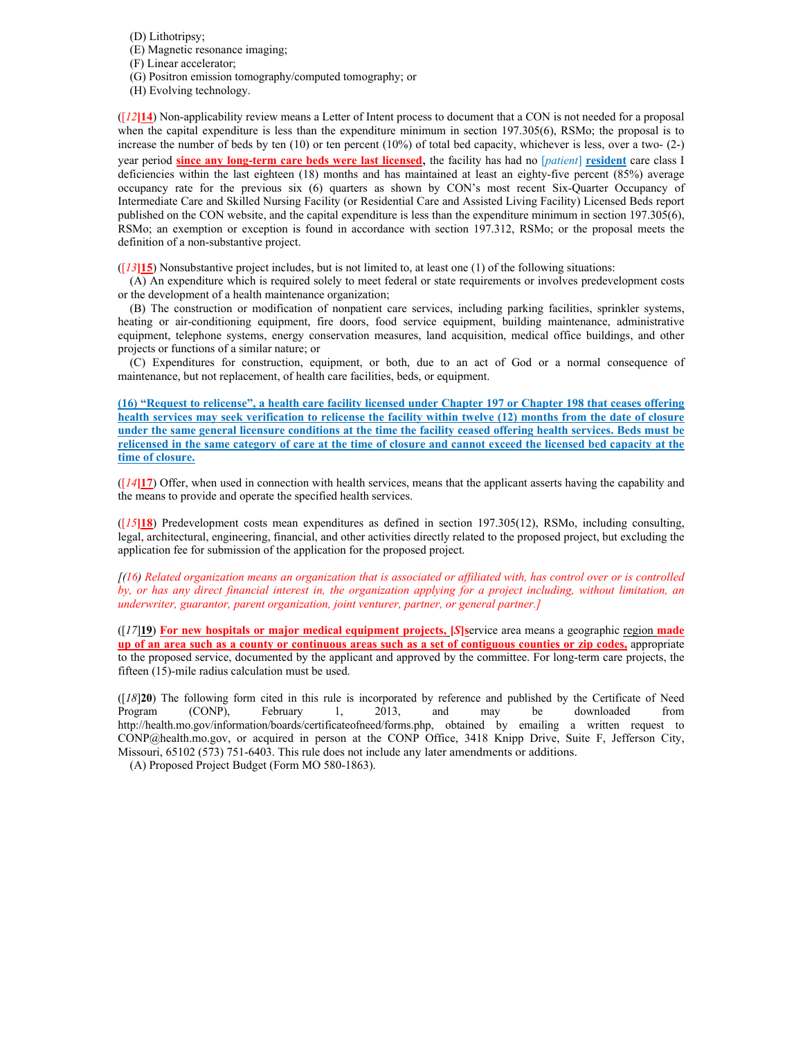(D) Lithotripsy;

- (E) Magnetic resonance imaging;
- (F) Linear accelerator;
- (G) Positron emission tomography/computed tomography; or
- (H) Evolving technology.

 $(12)$ 14) Non-applicability review means a Letter of Intent process to document that a CON is not needed for a proposal when the capital expenditure is less than the expenditure minimum in section 197.305(6), RSMo; the proposal is to increase the number of beds by ten  $(10)$  or ten percent  $(10%)$  of total bed capacity, whichever is less, over a two-  $(2-)$ year period **since any long-term care beds were last licensed**, the facility has had no [*patient*] **resident** care class I deficiencies within the last eighteen (18) months and has maintained at least an eighty-five percent (85%) average occupancy rate for the previous six (6) quarters as shown by CON's most recent Six-Quarter Occupancy of Intermediate Care and Skilled Nursing Facility (or Residential Care and Assisted Living Facility) Licensed Beds report published on the CON website, and the capital expenditure is less than the expenditure minimum in section 197.305(6), RSMo; an exemption or exception is found in accordance with section 197.312, RSMo; or the proposal meets the definition of a non-substantive project.

([*13***]15**) Nonsubstantive project includes, but is not limited to, at least one (1) of the following situations:

(A) An expenditure which is required solely to meet federal or state requirements or involves predevelopment costs or the development of a health maintenance organization;

(B) The construction or modification of nonpatient care services, including parking facilities, sprinkler systems, heating or air-conditioning equipment, fire doors, food service equipment, building maintenance, administrative equipment, telephone systems, energy conservation measures, land acquisition, medical office buildings, and other projects or functions of a similar nature; or

(C) Expenditures for construction, equipment, or both, due to an act of God or a normal consequence of maintenance, but not replacement, of health care facilities, beds, or equipment.

**(16) "Request to relicense", a health care facility licensed under Chapter 197 or Chapter 198 that ceases offering health services may seek verification to relicense the facility within twelve (12) months from the date of closure under the same general licensure conditions at the time the facility ceased offering health services. Beds must be relicensed in the same category of care at the time of closure and cannot exceed the licensed bed capacity at the time of closure.**

([*14***]17**) Offer, when used in connection with health services, means that the applicant asserts having the capability and the means to provide and operate the specified health services.

 $($ [ $15$ **]18**) Predevelopment costs mean expenditures as defined in section 197.305(12), RSMo, including consulting, legal, architectural, engineering, financial, and other activities directly related to the proposed project, but excluding the application fee for submission of the application for the proposed project.

*[(16) Related organization means an organization that is associated or affiliated with, has control over or is controlled by, or has any direct financial interest in, the organization applying for a project including, without limitation, an underwriter, guarantor, parent organization, joint venturer, partner, or general partner.]*

([*17*]**19**) **For new hospitals or major medical equipment projects, [***S***]s**ervice area means a geographic region **made up of an area such as a county or continuous areas such as a set of contiguous counties or zip codes,** appropriate to the proposed service, documented by the applicant and approved by the committee. For long-term care projects, the fifteen (15)-mile radius calculation must be used.

([*18*]**20**) The following form cited in this rule is incorporated by reference and published by the Certificate of Need Program (CONP), February 1, 2013, and may be downloaded from http://health.mo.gov/information/boards/certificateofneed/forms.php, obtained by emailing a written request to CONP@health.mo.gov, or acquired in person at the CONP Office, 3418 Knipp Drive, Suite F, Jefferson City, Missouri, 65102 (573) 751-6403. This rule does not include any later amendments or additions.

(A) Proposed Project Budget (Form MO 580-1863).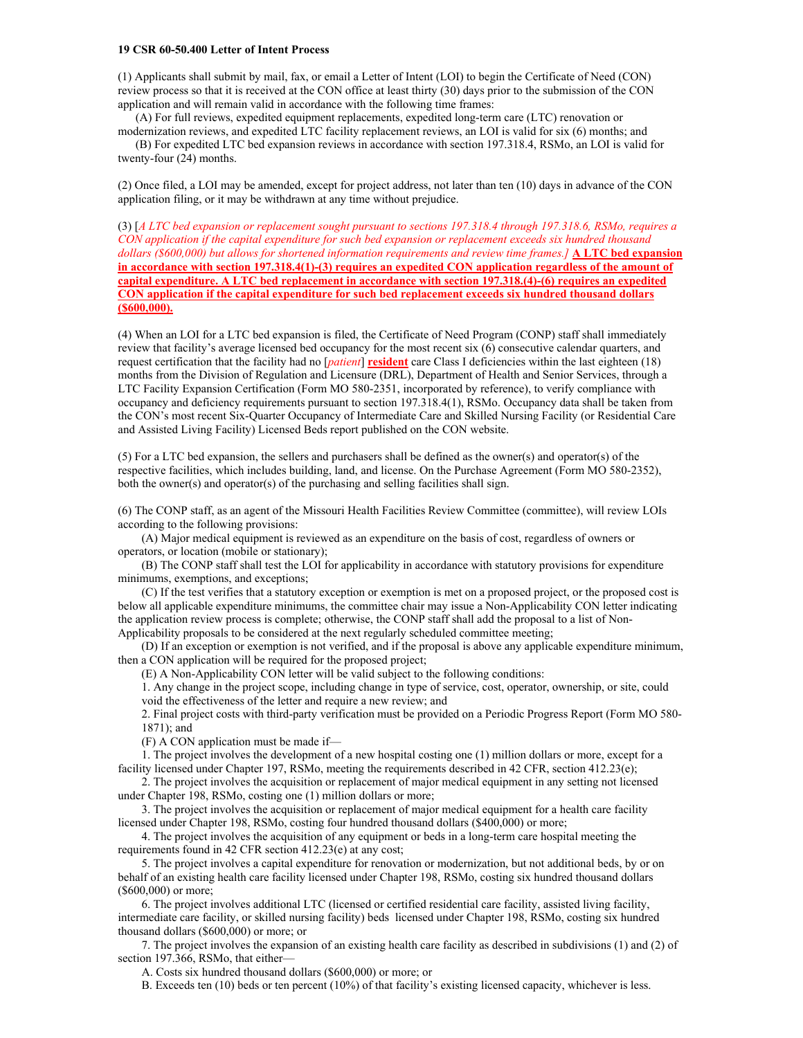## **19 CSR 60-50.400 Letter of Intent Process**

(1) Applicants shall submit by mail, fax, or email a Letter of Intent (LOI) to begin the Certificate of Need (CON) review process so that it is received at the CON office at least thirty (30) days prior to the submission of the CON application and will remain valid in accordance with the following time frames:

(A) For full reviews, expedited equipment replacements, expedited long-term care (LTC) renovation or

modernization reviews, and expedited LTC facility replacement reviews, an LOI is valid for six (6) months; and (B) For expedited LTC bed expansion reviews in accordance with section 197.318.4, RSMo, an LOI is valid for twenty-four (24) months.

(2) Once filed, a LOI may be amended, except for project address, not later than ten (10) days in advance of the CON application filing, or it may be withdrawn at any time without prejudice.

(3) [*A LTC bed expansion or replacement sought pursuant to sections 197.318.4 through 197.318.6, RSMo, requires a CON application if the capital expenditure for such bed expansion or replacement exceeds six hundred thousand dollars (\$600,000) but allows for shortened information requirements and review time frames.]* **A LTC bed expansion in accordance with section 197.318.4(1)-(3) requires an expedited CON application regardless of the amount of capital expenditure. A LTC bed replacement in accordance with section 197.318.(4)-(6) requires an expedited CON application if the capital expenditure for such bed replacement exceeds six hundred thousand dollars (\$600,000).**

(4) When an LOI for a LTC bed expansion is filed, the Certificate of Need Program (CONP) staff shall immediately review that facility's average licensed bed occupancy for the most recent six (6) consecutive calendar quarters, and request certification that the facility had no [*patient*] **resident** care Class I deficiencies within the last eighteen (18) months from the Division of Regulation and Licensure (DRL), Department of Health and Senior Services, through a LTC Facility Expansion Certification (Form MO 580-2351, incorporated by reference), to verify compliance with occupancy and deficiency requirements pursuant to section 197.318.4(1), RSMo. Occupancy data shall be taken from the CON's most recent Six-Quarter Occupancy of Intermediate Care and Skilled Nursing Facility (or Residential Care and Assisted Living Facility) Licensed Beds report published on the CON website.

(5) For a LTC bed expansion, the sellers and purchasers shall be defined as the owner(s) and operator(s) of the respective facilities, which includes building, land, and license. On the Purchase Agreement (Form MO 580-2352), both the owner(s) and operator(s) of the purchasing and selling facilities shall sign.

(6) The CONP staff, as an agent of the Missouri Health Facilities Review Committee (committee), will review LOIs according to the following provisions:

(A) Major medical equipment is reviewed as an expenditure on the basis of cost, regardless of owners or operators, or location (mobile or stationary);

(B) The CONP staff shall test the LOI for applicability in accordance with statutory provisions for expenditure minimums, exemptions, and exceptions;

(C) If the test verifies that a statutory exception or exemption is met on a proposed project, or the proposed cost is below all applicable expenditure minimums, the committee chair may issue a Non-Applicability CON letter indicating the application review process is complete; otherwise, the CONP staff shall add the proposal to a list of Non-Applicability proposals to be considered at the next regularly scheduled committee meeting;

(D) If an exception or exemption is not verified, and if the proposal is above any applicable expenditure minimum, then a CON application will be required for the proposed project;

(E) A Non-Applicability CON letter will be valid subject to the following conditions:

1. Any change in the project scope, including change in type of service, cost, operator, ownership, or site, could void the effectiveness of the letter and require a new review; and

2. Final project costs with third-party verification must be provided on a Periodic Progress Report (Form MO 580- 1871); and

(F) A CON application must be made if—

1. The project involves the development of a new hospital costing one (1) million dollars or more, except for a facility licensed under Chapter 197, RSMo, meeting the requirements described in 42 CFR, section 412.23(e);

2. The project involves the acquisition or replacement of major medical equipment in any setting not licensed under Chapter 198, RSMo, costing one (1) million dollars or more;

3. The project involves the acquisition or replacement of major medical equipment for a health care facility licensed under Chapter 198, RSMo, costing four hundred thousand dollars (\$400,000) or more;

4. The project involves the acquisition of any equipment or beds in a long-term care hospital meeting the requirements found in 42 CFR section 412.23(e) at any cost;

5. The project involves a capital expenditure for renovation or modernization, but not additional beds, by or on behalf of an existing health care facility licensed under Chapter 198, RSMo, costing six hundred thousand dollars (\$600,000) or more;

6. The project involves additional LTC (licensed or certified residential care facility, assisted living facility, intermediate care facility, or skilled nursing facility) beds licensed under Chapter 198, RSMo, costing six hundred thousand dollars (\$600,000) or more; or

7. The project involves the expansion of an existing health care facility as described in subdivisions (1) and (2) of section 197.366, RSMo, that either-

A. Costs six hundred thousand dollars (\$600,000) or more; or

B. Exceeds ten (10) beds or ten percent (10%) of that facility's existing licensed capacity, whichever is less.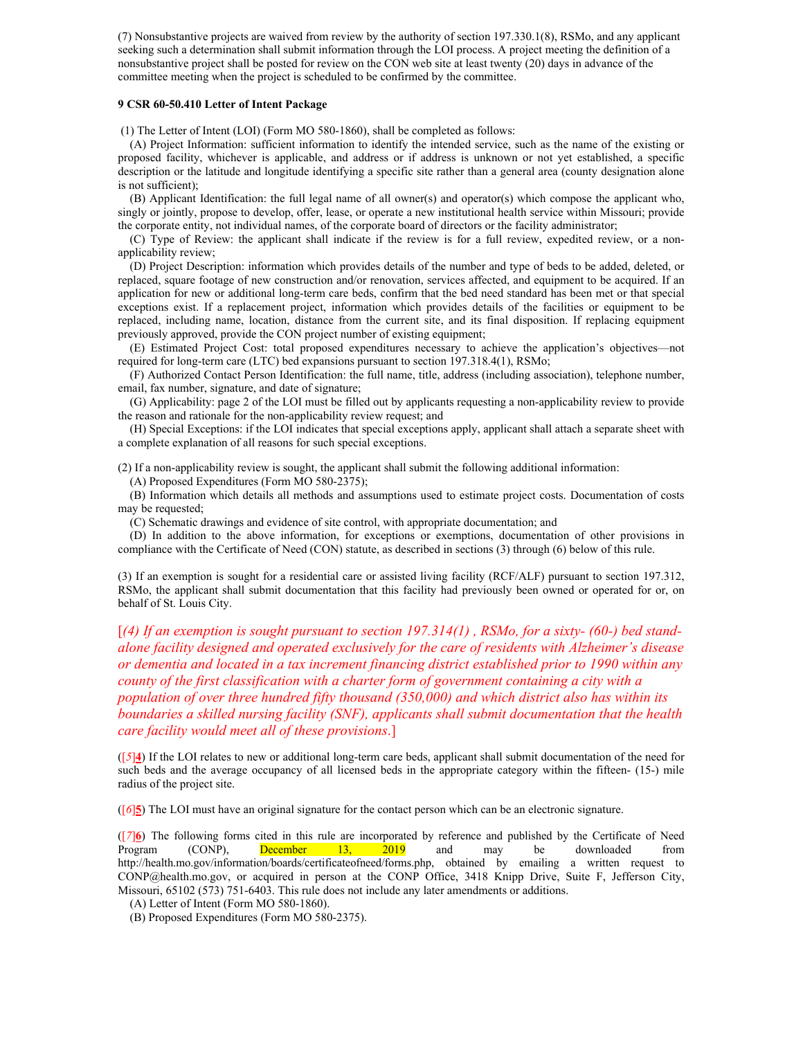(7) Nonsubstantive projects are waived from review by the authority of section 197.330.1(8), RSMo, and any applicant seeking such a determination shall submit information through the LOI process. A project meeting the definition of a nonsubstantive project shall be posted for review on the CON web site at least twenty (20) days in advance of the committee meeting when the project is scheduled to be confirmed by the committee.

#### **9 CSR 60-50.410 Letter of Intent Package**

(1) The Letter of Intent (LOI) (Form MO 580-1860), shall be completed as follows:

(A) Project Information: sufficient information to identify the intended service, such as the name of the existing or proposed facility, whichever is applicable, and address or if address is unknown or not yet established, a specific description or the latitude and longitude identifying a specific site rather than a general area (county designation alone is not sufficient);

(B) Applicant Identification: the full legal name of all owner(s) and operator(s) which compose the applicant who, singly or jointly, propose to develop, offer, lease, or operate a new institutional health service within Missouri; provide the corporate entity, not individual names, of the corporate board of directors or the facility administrator;

(C) Type of Review: the applicant shall indicate if the review is for a full review, expedited review, or a nonapplicability review;

(D) Project Description: information which provides details of the number and type of beds to be added, deleted, or replaced, square footage of new construction and/or renovation, services affected, and equipment to be acquired. If an application for new or additional long-term care beds, confirm that the bed need standard has been met or that special exceptions exist. If a replacement project, information which provides details of the facilities or equipment to be replaced, including name, location, distance from the current site, and its final disposition. If replacing equipment previously approved, provide the CON project number of existing equipment;

(E) Estimated Project Cost: total proposed expenditures necessary to achieve the application's objectives—not required for long-term care (LTC) bed expansions pursuant to section 197.318.4(1), RSMo;

(F) Authorized Contact Person Identification: the full name, title, address (including association), telephone number, email, fax number, signature, and date of signature;

(G) Applicability: page 2 of the LOI must be filled out by applicants requesting a non-applicability review to provide the reason and rationale for the non-applicability review request; and

(H) Special Exceptions: if the LOI indicates that special exceptions apply, applicant shall attach a separate sheet with a complete explanation of all reasons for such special exceptions.

(2) If a non-applicability review is sought, the applicant shall submit the following additional information:

(A) Proposed Expenditures (Form MO 580-2375);

(B) Information which details all methods and assumptions used to estimate project costs. Documentation of costs may be requested;

(C) Schematic drawings and evidence of site control, with appropriate documentation; and

(D) In addition to the above information, for exceptions or exemptions, documentation of other provisions in compliance with the Certificate of Need (CON) statute, as described in sections (3) through (6) below of this rule.

(3) If an exemption is sought for a residential care or assisted living facility (RCF/ALF) pursuant to section 197.312, RSMo, the applicant shall submit documentation that this facility had previously been owned or operated for or, on behalf of St. Louis City.

[*(4) If an exemption is sought pursuant to section 197.314(1) , RSMo, for a sixty- (60-) bed standalone facility designed and operated exclusively for the care of residents with Alzheimer's disease or dementia and located in a tax increment financing district established prior to 1990 within any county of the first classification with a charter form of government containing a city with a population of over three hundred fifty thousand (350,000) and which district also has within its boundaries a skilled nursing facility (SNF), applicants shall submit documentation that the health care facility would meet all of these provisions*.]

([*5*]**4**) If the LOI relates to new or additional long-term care beds, applicant shall submit documentation of the need for such beds and the average occupancy of all licensed beds in the appropriate category within the fifteen- (15-) mile radius of the project site.

([*6*]**5**) The LOI must have an original signature for the contact person which can be an electronic signature.

([*7*]**6**) The following forms cited in this rule are incorporated by reference and published by the Certificate of Need Program (CONP), December 13, 2019 and may be downloaded from http://health.mo.gov/information/boards/certificateofneed/forms.php, obtained by emailing a written request to CONP@health.mo.gov, or acquired in person at the CONP Office, 3418 Knipp Drive, Suite F, Jefferson City, Missouri, 65102 (573) 751-6403. This rule does not include any later amendments or additions.

(A) Letter of Intent (Form MO 580-1860).

(B) Proposed Expenditures (Form MO 580-2375).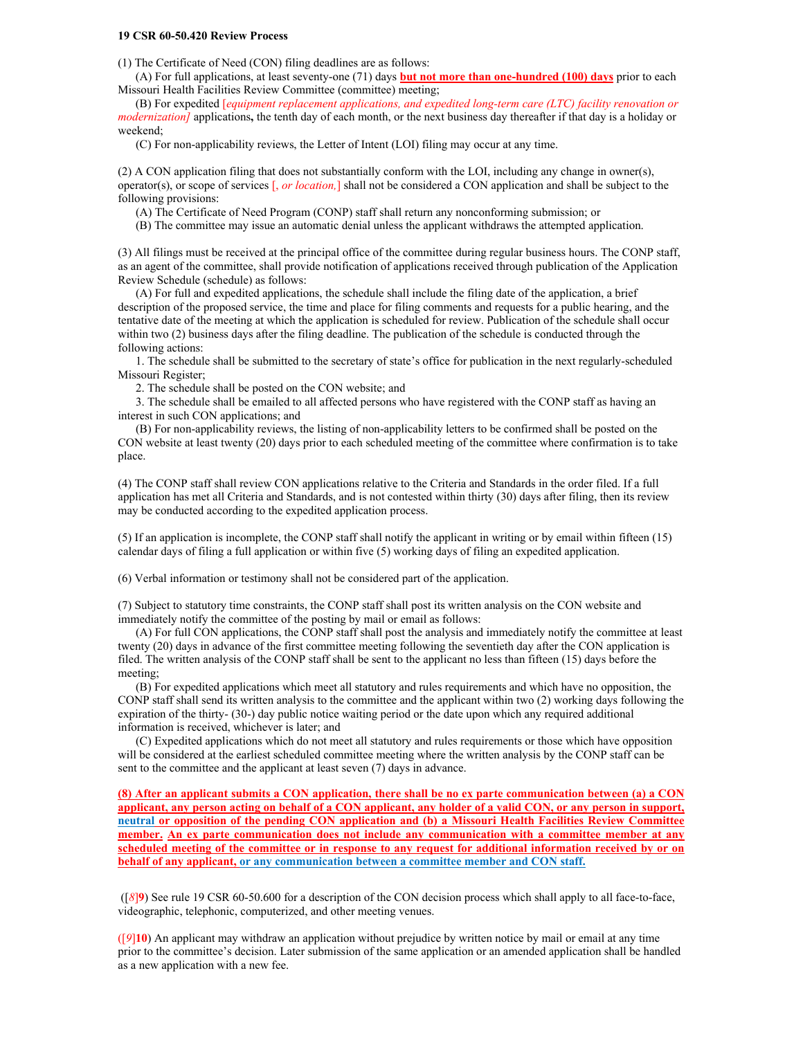#### **19 CSR 60-50.420 Review Process**

(1) The Certificate of Need (CON) filing deadlines are as follows:

(A) For full applications, at least seventy-one (71) days **but not more than one-hundred (100) days** prior to each Missouri Health Facilities Review Committee (committee) meeting;

(B) For expedited [*equipment replacement applications, and expedited long-term care (LTC) facility renovation or modernization]* applications**,** the tenth day of each month, or the next business day thereafter if that day is a holiday or weekend;

(C) For non-applicability reviews, the Letter of Intent (LOI) filing may occur at any time.

(2) A CON application filing that does not substantially conform with the LOI, including any change in owner(s), operator(s), or scope of services [, *or location,*] shall not be considered a CON application and shall be subject to the following provisions:

(A) The Certificate of Need Program (CONP) staff shall return any nonconforming submission; or

(B) The committee may issue an automatic denial unless the applicant withdraws the attempted application.

(3) All filings must be received at the principal office of the committee during regular business hours. The CONP staff, as an agent of the committee, shall provide notification of applications received through publication of the Application Review Schedule (schedule) as follows:

(A) For full and expedited applications, the schedule shall include the filing date of the application, a brief description of the proposed service, the time and place for filing comments and requests for a public hearing, and the tentative date of the meeting at which the application is scheduled for review. Publication of the schedule shall occur within two (2) business days after the filing deadline. The publication of the schedule is conducted through the following actions:

1. The schedule shall be submitted to the secretary of state's office for publication in the next regularly-scheduled Missouri Register;

2. The schedule shall be posted on the CON website; and

3. The schedule shall be emailed to all affected persons who have registered with the CONP staff as having an interest in such CON applications; and

(B) For non-applicability reviews, the listing of non-applicability letters to be confirmed shall be posted on the CON website at least twenty (20) days prior to each scheduled meeting of the committee where confirmation is to take place.

(4) The CONP staff shall review CON applications relative to the Criteria and Standards in the order filed. If a full application has met all Criteria and Standards, and is not contested within thirty (30) days after filing, then its review may be conducted according to the expedited application process.

(5) If an application is incomplete, the CONP staff shall notify the applicant in writing or by email within fifteen (15) calendar days of filing a full application or within five (5) working days of filing an expedited application.

(6) Verbal information or testimony shall not be considered part of the application.

(7) Subject to statutory time constraints, the CONP staff shall post its written analysis on the CON website and immediately notify the committee of the posting by mail or email as follows:

(A) For full CON applications, the CONP staff shall post the analysis and immediately notify the committee at least twenty (20) days in advance of the first committee meeting following the seventieth day after the CON application is filed. The written analysis of the CONP staff shall be sent to the applicant no less than fifteen (15) days before the meeting;

(B) For expedited applications which meet all statutory and rules requirements and which have no opposition, the CONP staff shall send its written analysis to the committee and the applicant within two (2) working days following the expiration of the thirty- (30-) day public notice waiting period or the date upon which any required additional information is received, whichever is later; and

(C) Expedited applications which do not meet all statutory and rules requirements or those which have opposition will be considered at the earliest scheduled committee meeting where the written analysis by the CONP staff can be sent to the committee and the applicant at least seven (7) days in advance.

**(8) After an applicant submits a CON application, there shall be no ex parte communication between (a) a CON applicant, any person acting on behalf of a CON applicant, any holder of a valid CON, or any person in support, neutral or opposition of the pending CON application and (b) a Missouri Health Facilities Review Committee member. An ex parte communication does not include any communication with a committee member at any scheduled meeting of the committee or in response to any request for additional information received by or on behalf of any applicant, or any communication between a committee member and CON staff.**

([*8*]**9**) See rule 19 CSR 60-50.600 for a description of the CON decision process which shall apply to all face-to-face, videographic, telephonic, computerized, and other meeting venues.

([*9*]**10**) An applicant may withdraw an application without prejudice by written notice by mail or email at any time prior to the committee's decision. Later submission of the same application or an amended application shall be handled as a new application with a new fee.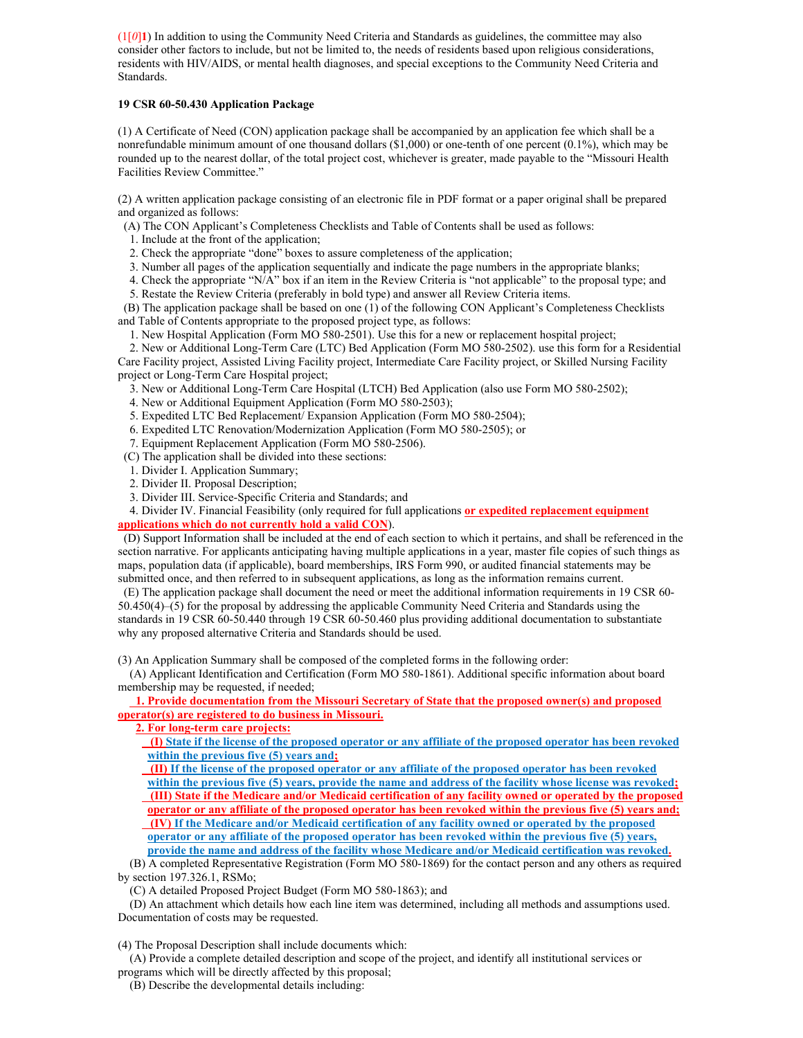$(1[0]$ **1**) In addition to using the Community Need Criteria and Standards as guidelines, the committee may also consider other factors to include, but not be limited to, the needs of residents based upon religious considerations, residents with HIV/AIDS, or mental health diagnoses, and special exceptions to the Community Need Criteria and Standards.

# **19 CSR 60-50.430 Application Package**

(1) A Certificate of Need (CON) application package shall be accompanied by an application fee which shall be a nonrefundable minimum amount of one thousand dollars (\$1,000) or one-tenth of one percent (0.1%), which may be rounded up to the nearest dollar, of the total project cost, whichever is greater, made payable to the "Missouri Health Facilities Review Committee."

(2) A written application package consisting of an electronic file in PDF format or a paper original shall be prepared and organized as follows:

(A) The CON Applicant's Completeness Checklists and Table of Contents shall be used as follows:

- 1. Include at the front of the application;
- 2. Check the appropriate "done" boxes to assure completeness of the application;
- 3. Number all pages of the application sequentially and indicate the page numbers in the appropriate blanks;
- 4. Check the appropriate "N/A" box if an item in the Review Criteria is "not applicable" to the proposal type; and
- 5. Restate the Review Criteria (preferably in bold type) and answer all Review Criteria items.

(B) The application package shall be based on one (1) of the following CON Applicant's Completeness Checklists and Table of Contents appropriate to the proposed project type, as follows:

1. New Hospital Application (Form MO 580-2501). Use this for a new or replacement hospital project;

2. New or Additional Long-Term Care (LTC) Bed Application (Form MO 580-2502). use this form for a Residential Care Facility project, Assisted Living Facility project, Intermediate Care Facility project, or Skilled Nursing Facility project or Long-Term Care Hospital project;

- 3. New or Additional Long-Term Care Hospital (LTCH) Bed Application (also use Form MO 580-2502);
- 4. New or Additional Equipment Application (Form MO 580-2503);
- 5. Expedited LTC Bed Replacement/ Expansion Application (Form MO 580-2504);
- 6. Expedited LTC Renovation/Modernization Application (Form MO 580-2505); or
- 7. Equipment Replacement Application (Form MO 580-2506).
- (C) The application shall be divided into these sections:
- 1. Divider I. Application Summary;
- 2. Divider II. Proposal Description;
- 3. Divider III. Service-Specific Criteria and Standards; and
- 4. Divider IV. Financial Feasibility (only required for full applications **or expedited replacement equipment applications which do not currently hold a valid CON**).

(D) Support Information shall be included at the end of each section to which it pertains, and shall be referenced in the section narrative. For applicants anticipating having multiple applications in a year, master file copies of such things as maps, population data (if applicable), board memberships, IRS Form 990, or audited financial statements may be submitted once, and then referred to in subsequent applications, as long as the information remains current.

(E) The application package shall document the need or meet the additional information requirements in 19 CSR 60- 50.450(4)–(5) for the proposal by addressing the applicable Community Need Criteria and Standards using the standards in 19 CSR 60-50.440 through 19 CSR 60-50.460 plus providing additional documentation to substantiate why any proposed alternative Criteria and Standards should be used.

(3) An Application Summary shall be composed of the completed forms in the following order:

(A) Applicant Identification and Certification (Form MO 580-1861). Additional specific information about board membership may be requested, if needed;

 **1. Provide documentation from the Missouri Secretary of State that the proposed owner(s) and proposed operator(s) are registered to do business in Missouri.**

 **2. For long-term care projects:**

**(I) State if the license of the proposed operator or any affiliate of the proposed operator has been revoked within the previous five (5) years and;** 

 **(II) If the license of the proposed operator or any affiliate of the proposed operator has been revoked within the previous five (5) years, provide the name and address of the facility whose license was revoked; (III) State if the Medicare and/or Medicaid certification of any facility owned or operated by the proposed operator or any affiliate of the proposed operator has been revoked within the previous five (5) years and; (IV) If the Medicare and/or Medicaid certification of any facility owned or operated by the proposed operator or any affiliate of the proposed operator has been revoked within the previous five (5) years,** 

**provide the name and address of the facility whose Medicare and/or Medicaid certification was revoked.** (B) A completed Representative Registration (Form MO 580-1869) for the contact person and any others as required by section 197.326.1, RSMo;

(C) A detailed Proposed Project Budget (Form MO 580-1863); and

(D) An attachment which details how each line item was determined, including all methods and assumptions used. Documentation of costs may be requested.

(4) The Proposal Description shall include documents which:

(A) Provide a complete detailed description and scope of the project, and identify all institutional services or programs which will be directly affected by this proposal;

(B) Describe the developmental details including: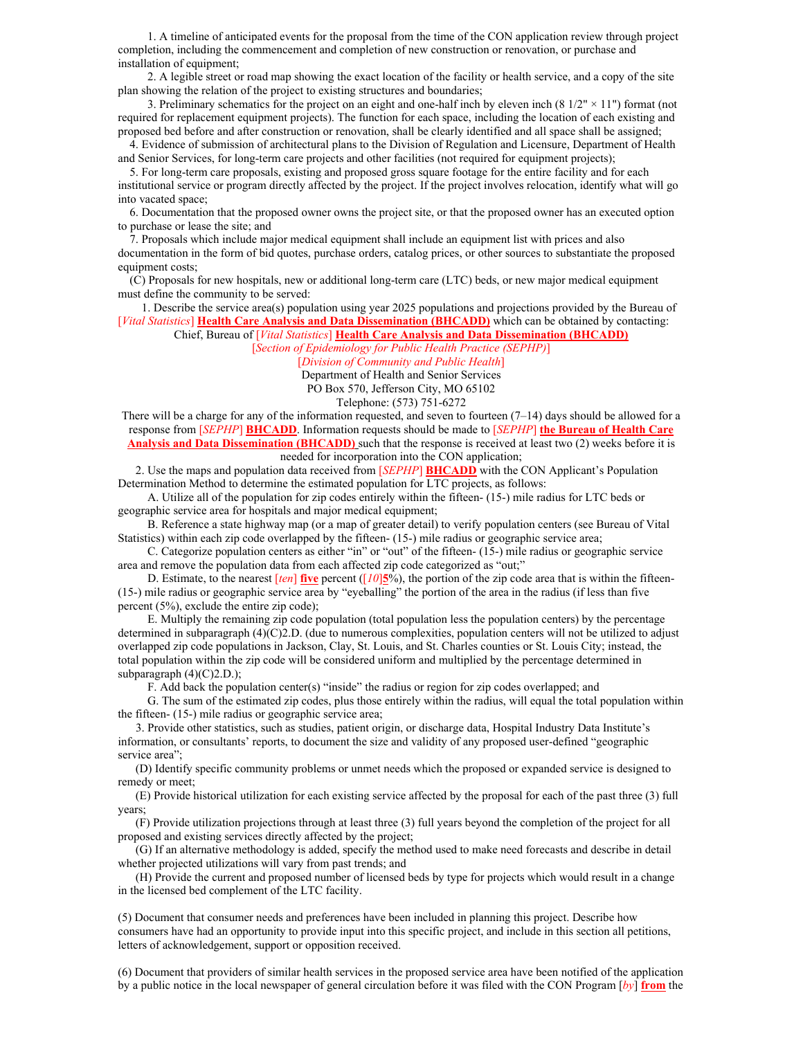1. A timeline of anticipated events for the proposal from the time of the CON application review through project completion, including the commencement and completion of new construction or renovation, or purchase and installation of equipment;

2. A legible street or road map showing the exact location of the facility or health service, and a copy of the site plan showing the relation of the project to existing structures and boundaries;

3. Preliminary schematics for the project on an eight and one-half inch by eleven inch  $(8\frac{1}{2} \times 11")$  format (not required for replacement equipment projects). The function for each space, including the location of each existing and proposed bed before and after construction or renovation, shall be clearly identified and all space shall be assigned;

4. Evidence of submission of architectural plans to the Division of Regulation and Licensure, Department of Health and Senior Services, for long-term care projects and other facilities (not required for equipment projects);

5. For long-term care proposals, existing and proposed gross square footage for the entire facility and for each institutional service or program directly affected by the project. If the project involves relocation, identify what will go into vacated space;

6. Documentation that the proposed owner owns the project site, or that the proposed owner has an executed option to purchase or lease the site; and

7. Proposals which include major medical equipment shall include an equipment list with prices and also documentation in the form of bid quotes, purchase orders, catalog prices, or other sources to substantiate the proposed equipment costs;

(C) Proposals for new hospitals, new or additional long-term care (LTC) beds, or new major medical equipment must define the community to be served:

1. Describe the service area(s) population using year 2025 populations and projections provided by the Bureau of [*Vital Statistics*] **Health Care Analysis and Data Dissemination (BHCADD)** which can be obtained by contacting:

Chief, Bureau of [*Vital Statistics*] **Health Care Analysis and Data Dissemination (BHCADD)**

[*Section of Epidemiology for Public Health Practice (SEPHP)*]

[*Division of Community and Public Health*]

Department of Health and Senior Services

PO Box 570, Jefferson City, MO 65102

Telephone: (573) 751-6272

There will be a charge for any of the information requested, and seven to fourteen  $(7-14)$  days should be allowed for a response from [*SEPHP*] **BHCADD**. Information requests should be made to [*SEPHP*] **the Bureau of Health Care Analysis and Data Dissemination (BHCADD)** such that the response is received at least two (2) weeks before it is needed for incorporation into the CON application;

2. Use the maps and population data received from [*SEPHP*] **BHCADD** with the CON Applicant's Population Determination Method to determine the estimated population for LTC projects, as follows:

A. Utilize all of the population for zip codes entirely within the fifteen- (15-) mile radius for LTC beds or geographic service area for hospitals and major medical equipment;

B. Reference a state highway map (or a map of greater detail) to verify population centers (see Bureau of Vital Statistics) within each zip code overlapped by the fifteen- (15-) mile radius or geographic service area;

C. Categorize population centers as either "in" or "out" of the fifteen- (15-) mile radius or geographic service area and remove the population data from each affected zip code categorized as "out;"

D. Estimate, to the nearest [*ten*] **five** percent ([*10*]**5**%), the portion of the zip code area that is within the fifteen- (15-) mile radius or geographic service area by "eyeballing" the portion of the area in the radius (if less than five percent (5%), exclude the entire zip code);

E. Multiply the remaining zip code population (total population less the population centers) by the percentage determined in subparagraph (4)(C)2.D. (due to numerous complexities, population centers will not be utilized to adjust overlapped zip code populations in Jackson, Clay, St. Louis, and St. Charles counties or St. Louis City; instead, the total population within the zip code will be considered uniform and multiplied by the percentage determined in subparagraph  $(4)(C)2.D.$ );

F. Add back the population center(s) "inside" the radius or region for zip codes overlapped; and

G. The sum of the estimated zip codes, plus those entirely within the radius, will equal the total population within the fifteen- (15-) mile radius or geographic service area;

3. Provide other statistics, such as studies, patient origin, or discharge data, Hospital Industry Data Institute's information, or consultants' reports, to document the size and validity of any proposed user-defined "geographic service area";

(D) Identify specific community problems or unmet needs which the proposed or expanded service is designed to remedy or meet;

(E) Provide historical utilization for each existing service affected by the proposal for each of the past three (3) full years;

(F) Provide utilization projections through at least three (3) full years beyond the completion of the project for all proposed and existing services directly affected by the project;

(G) If an alternative methodology is added, specify the method used to make need forecasts and describe in detail whether projected utilizations will vary from past trends; and

(H) Provide the current and proposed number of licensed beds by type for projects which would result in a change in the licensed bed complement of the LTC facility.

(5) Document that consumer needs and preferences have been included in planning this project. Describe how consumers have had an opportunity to provide input into this specific project, and include in this section all petitions, letters of acknowledgement, support or opposition received.

(6) Document that providers of similar health services in the proposed service area have been notified of the application by a public notice in the local newspaper of general circulation before it was filed with the CON Program [*by*] **from** the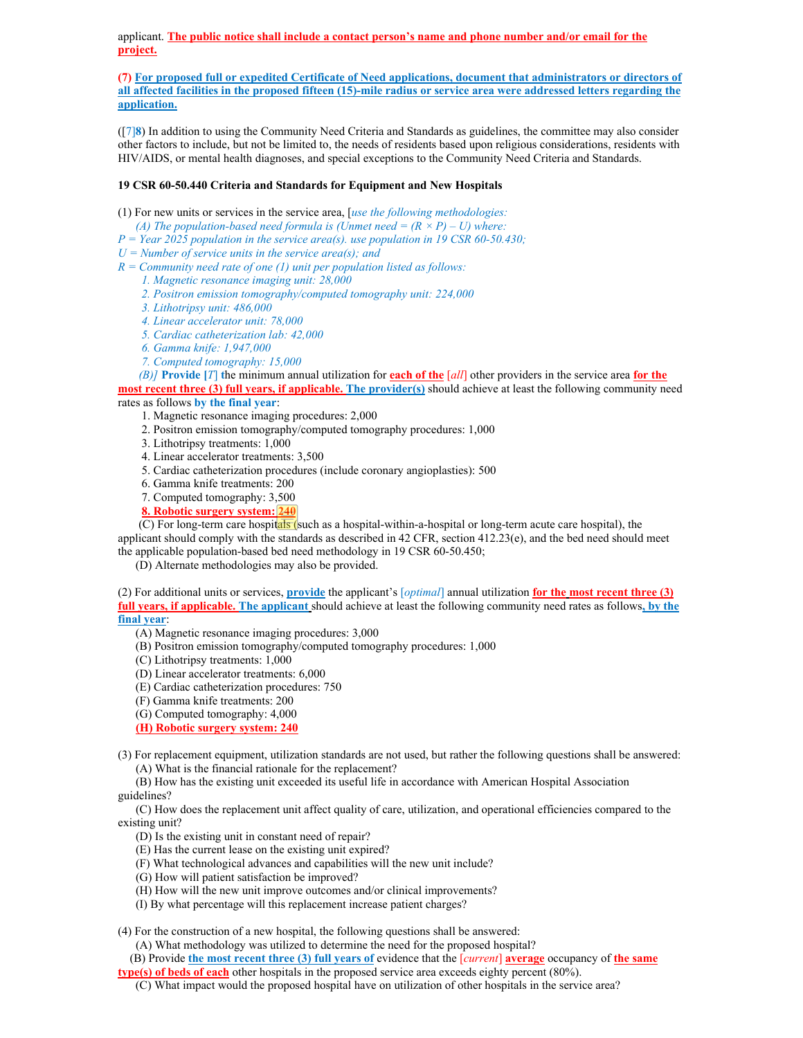applicant. **The public notice shall include a contact person's name and phone number and/or email for the project.**

**(7) For proposed full or expedited Certificate of Need applications, document that administrators or directors of all affected facilities in the proposed fifteen (15)-mile radius or service area were addressed letters regarding the application.**

([7]**8**) In addition to using the Community Need Criteria and Standards as guidelines, the committee may also consider other factors to include, but not be limited to, the needs of residents based upon religious considerations, residents with HIV/AIDS, or mental health diagnoses, and special exceptions to the Community Need Criteria and Standards.

# **19 CSR 60-50.440 Criteria and Standards for Equipment and New Hospitals**

(1) For new units or services in the service area, [*use the following methodologies:*

- *(A) The population-based need formula is (Unmet need =*  $(R \times P) U$ *) where:*
- *P = Year 2025 population in the service area(s). use population in 19 CSR 60-50.430;*
- *U = Number of service units in the service area(s); and*
- *R = Community need rate of one (1) unit per population listed as follows:*
	- *1. Magnetic resonance imaging unit: 28,000*
	- *2. Positron emission tomography/computed tomography unit: 224,000*
	- *3. Lithotripsy unit: 486,000*
	- *4. Linear accelerator unit: 78,000*
	- *5. Cardiac catheterization lab: 42,000*
	- *6. Gamma knife: 1,947,000*
	- *7. Computed tomography: 15,000*

*(B)]* **Provide [***T*] **t**he minimum annual utilization for **each of the** [*all*] other providers in the service area **for the most recent three (3) full years, if applicable. The provider(s)** should achieve at least the following community need

rates as follows **by the final year**:

- 1. Magnetic resonance imaging procedures: 2,000
- 2. Positron emission tomography/computed tomography procedures: 1,000
- 3. Lithotripsy treatments: 1,000
- 4. Linear accelerator treatments: 3,500
- 5. Cardiac catheterization procedures (include coronary angioplasties): 500
- 6. Gamma knife treatments: 200
- 7. Computed tomography: 3,500
- **8. Robotic surgery system: 240**

(C) For long-term care hospitals (such as a hospital-within-a-hospital or long-term acute care hospital), the applicant should comply with the standards as described in 42 CFR, section 412.23(e), and the bed need should meet the applicable population-based bed need methodology in 19 CSR 60-50.450;

(D) Alternate methodologies may also be provided.

(2) For additional units or services, **provide** the applicant's [*optimal*] annual utilization **for the most recent three (3) full years, if applicable. The applicant** should achieve at least the following community need rates as follows**, by the final year**:

- (A) Magnetic resonance imaging procedures: 3,000
- (B) Positron emission tomography/computed tomography procedures: 1,000
- (C) Lithotripsy treatments: 1,000
- (D) Linear accelerator treatments: 6,000
- (E) Cardiac catheterization procedures: 750
- (F) Gamma knife treatments: 200
- (G) Computed tomography: 4,000
- **(H) Robotic surgery system: 240**
- (3) For replacement equipment, utilization standards are not used, but rather the following questions shall be answered: (A) What is the financial rationale for the replacement?

(B) How has the existing unit exceeded its useful life in accordance with American Hospital Association guidelines?

(C) How does the replacement unit affect quality of care, utilization, and operational efficiencies compared to the existing unit?

- (D) Is the existing unit in constant need of repair?
- (E) Has the current lease on the existing unit expired?
- (F) What technological advances and capabilities will the new unit include?
- (G) How will patient satisfaction be improved?
- (H) How will the new unit improve outcomes and/or clinical improvements?
- (I) By what percentage will this replacement increase patient charges?

(4) For the construction of a new hospital, the following questions shall be answered:

(A) What methodology was utilized to determine the need for the proposed hospital?

(B) Provide **the most recent three (3) full years of** evidence that the [*current*] **average** occupancy of **the same** 

**type(s) of beds of each** other hospitals in the proposed service area exceeds eighty percent (80%).

<sup>(</sup>C) What impact would the proposed hospital have on utilization of other hospitals in the service area?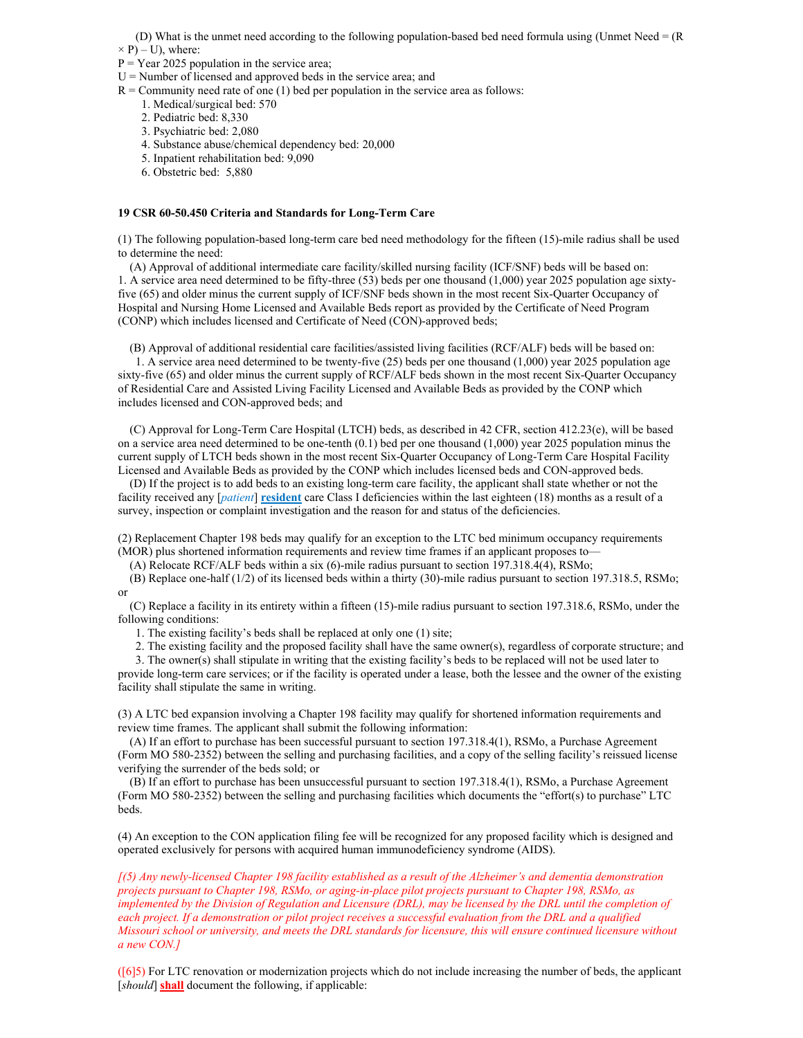(D) What is the unmet need according to the following population-based bed need formula using (Unmet Need = (R

 $\times$  P) – U), where:

- $P = Year 2025$  population in the service area;
- $U =$  Number of licensed and approved beds in the service area; and
- $R =$  Community need rate of one (1) bed per population in the service area as follows:
	- 1. Medical/surgical bed: 570
	- 2. Pediatric bed: 8,330
	- 3. Psychiatric bed: 2,080
	- 4. Substance abuse/chemical dependency bed: 20,000
	- 5. Inpatient rehabilitation bed: 9,090
	- 6. Obstetric bed: 5,880

# **19 CSR 60-50.450 Criteria and Standards for Long-Term Care**

(1) The following population-based long-term care bed need methodology for the fifteen (15)-mile radius shall be used to determine the need:

(A) Approval of additional intermediate care facility/skilled nursing facility (ICF/SNF) beds will be based on: 1. A service area need determined to be fifty-three (53) beds per one thousand (1,000) year 2025 population age sixtyfive (65) and older minus the current supply of ICF/SNF beds shown in the most recent Six-Quarter Occupancy of Hospital and Nursing Home Licensed and Available Beds report as provided by the Certificate of Need Program (CONP) which includes licensed and Certificate of Need (CON)-approved beds;

(B) Approval of additional residential care facilities/assisted living facilities (RCF/ALF) beds will be based on:

1. A service area need determined to be twenty-five (25) beds per one thousand (1,000) year 2025 population age sixty-five (65) and older minus the current supply of RCF/ALF beds shown in the most recent Six-Quarter Occupancy of Residential Care and Assisted Living Facility Licensed and Available Beds as provided by the CONP which includes licensed and CON-approved beds; and

(C) Approval for Long-Term Care Hospital (LTCH) beds, as described in 42 CFR, section 412.23(e), will be based on a service area need determined to be one-tenth (0.1) bed per one thousand (1,000) year 2025 population minus the current supply of LTCH beds shown in the most recent Six-Quarter Occupancy of Long-Term Care Hospital Facility Licensed and Available Beds as provided by the CONP which includes licensed beds and CON-approved beds.

(D) If the project is to add beds to an existing long-term care facility, the applicant shall state whether or not the facility received any [*patient*] **resident** care Class I deficiencies within the last eighteen (18) months as a result of a survey, inspection or complaint investigation and the reason for and status of the deficiencies.

(2) Replacement Chapter 198 beds may qualify for an exception to the LTC bed minimum occupancy requirements (MOR) plus shortened information requirements and review time frames if an applicant proposes to—

(A) Relocate RCF/ALF beds within a six  $(6)$ -mile radius pursuant to section 197.318.4(4), RSMo;

(B) Replace one-half (1/2) of its licensed beds within a thirty (30)-mile radius pursuant to section 197.318.5, RSMo; or

(C) Replace a facility in its entirety within a fifteen (15)-mile radius pursuant to section 197.318.6, RSMo, under the following conditions:

1. The existing facility's beds shall be replaced at only one (1) site;

2. The existing facility and the proposed facility shall have the same owner(s), regardless of corporate structure; and

3. The owner(s) shall stipulate in writing that the existing facility's beds to be replaced will not be used later to

provide long-term care services; or if the facility is operated under a lease, both the lessee and the owner of the existing facility shall stipulate the same in writing.

(3) A LTC bed expansion involving a Chapter 198 facility may qualify for shortened information requirements and review time frames. The applicant shall submit the following information:

(A) If an effort to purchase has been successful pursuant to section 197.318.4(1), RSMo, a Purchase Agreement (Form MO 580-2352) between the selling and purchasing facilities, and a copy of the selling facility's reissued license verifying the surrender of the beds sold; or

(B) If an effort to purchase has been unsuccessful pursuant to section 197.318.4(1), RSMo, a Purchase Agreement (Form MO 580-2352) between the selling and purchasing facilities which documents the "effort(s) to purchase" LTC beds.

(4) An exception to the CON application filing fee will be recognized for any proposed facility which is designed and operated exclusively for persons with acquired human immunodeficiency syndrome (AIDS).

*[(5) Any newly-licensed Chapter 198 facility established as a result of the Alzheimer's and dementia demonstration projects pursuant to Chapter 198, RSMo, or aging-in-place pilot projects pursuant to Chapter 198, RSMo, as implemented by the Division of Regulation and Licensure (DRL), may be licensed by the DRL until the completion of each project. If a demonstration or pilot project receives a successful evaluation from the DRL and a qualified Missouri school or university, and meets the DRL standards for licensure, this will ensure continued licensure without a new CON.]*

([6]5) For LTC renovation or modernization projects which do not include increasing the number of beds, the applicant [*should*] **shall** document the following, if applicable: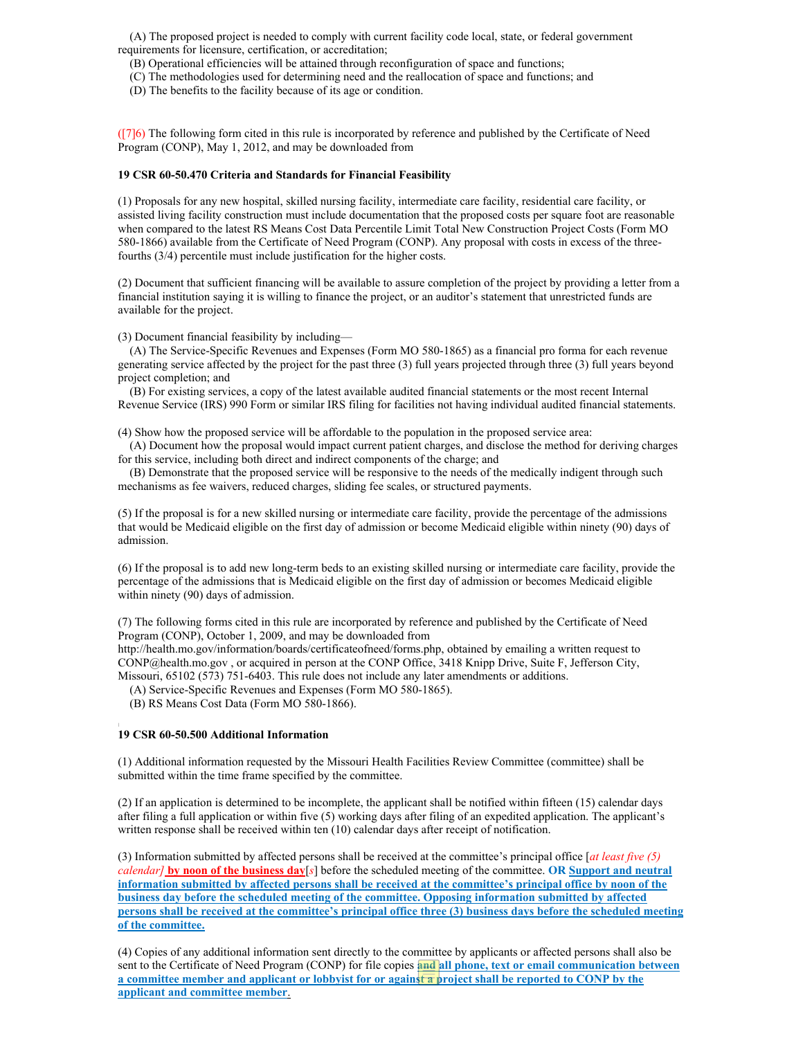(A) The proposed project is needed to comply with current facility code local, state, or federal government requirements for licensure, certification, or accreditation;

(B) Operational efficiencies will be attained through reconfiguration of space and functions;

(C) The methodologies used for determining need and the reallocation of space and functions; and

(D) The benefits to the facility because of its age or condition.

([7]6) The following form cited in this rule is incorporated by reference and published by the Certificate of Need Program (CONP), May 1, 2012, and may be downloaded from

#### **19 CSR 60-50.470 Criteria and Standards for Financial Feasibility**

(1) Proposals for any new hospital, skilled nursing facility, intermediate care facility, residential care facility, or assisted living facility construction must include documentation that the proposed costs per square foot are reasonable when compared to the latest RS Means Cost Data Percentile Limit Total New Construction Project Costs (Form MO 580-1866) available from the Certificate of Need Program (CONP). Any proposal with costs in excess of the threefourths (3/4) percentile must include justification for the higher costs.

(2) Document that sufficient financing will be available to assure completion of the project by providing a letter from a financial institution saying it is willing to finance the project, or an auditor's statement that unrestricted funds are available for the project.

(3) Document financial feasibility by including—

(A) The Service-Specific Revenues and Expenses (Form MO 580-1865) as a financial pro forma for each revenue generating service affected by the project for the past three (3) full years projected through three (3) full years beyond project completion; and

(B) For existing services, a copy of the latest available audited financial statements or the most recent Internal Revenue Service (IRS) 990 Form or similar IRS filing for facilities not having individual audited financial statements.

(4) Show how the proposed service will be affordable to the population in the proposed service area:

(A) Document how the proposal would impact current patient charges, and disclose the method for deriving charges for this service, including both direct and indirect components of the charge; and

(B) Demonstrate that the proposed service will be responsive to the needs of the medically indigent through such mechanisms as fee waivers, reduced charges, sliding fee scales, or structured payments.

(5) If the proposal is for a new skilled nursing or intermediate care facility, provide the percentage of the admissions that would be Medicaid eligible on the first day of admission or become Medicaid eligible within ninety (90) days of admission.

(6) If the proposal is to add new long-term beds to an existing skilled nursing or intermediate care facility, provide the percentage of the admissions that is Medicaid eligible on the first day of admission or becomes Medicaid eligible within ninety (90) days of admission.

(7) The following forms cited in this rule are incorporated by reference and published by the Certificate of Need Program (CONP), October 1, 2009, and may be downloaded from

http://health.mo.gov/information/boards/certificateofneed/forms.php, obtained by emailing a written request to CONP@health.mo.gov , or acquired in person at the CONP Office, 3418 Knipp Drive, Suite F, Jefferson City, Missouri, 65102 (573) 751-6403. This rule does not include any later amendments or additions.

(A) Service-Specific Revenues and Expenses (Form MO 580-1865).

(B) RS Means Cost Data (Form MO 580-1866).

# *\* **19 CSR 60-50.500 Additional Information**

(1) Additional information requested by the Missouri Health Facilities Review Committee (committee) shall be submitted within the time frame specified by the committee.

(2) If an application is determined to be incomplete, the applicant shall be notified within fifteen (15) calendar days after filing a full application or within five (5) working days after filing of an expedited application. The applicant's written response shall be received within ten (10) calendar days after receipt of notification.

(3) Information submitted by affected persons shall be received at the committee's principal office [*at least five (5) calendar]* **by noon of the business day**[*s*] before the scheduled meeting of the committee. **OR Support and neutral information submitted by affected persons shall be received at the committee's principal office by noon of the business day before the scheduled meeting of the committee. Opposing information submitted by affected persons shall be received at the committee's principal office three (3) business days before the scheduled meeting of the committee.**

(4) Copies of any additional information sent directly to the committee by applicants or affected persons shall also be sent to the Certificate of Need Program (CONP) for file copies **and all phone, text or email communication between a committee member and applicant or lobbyist for or against a project shall be reported to CONP by the applicant and committee member**.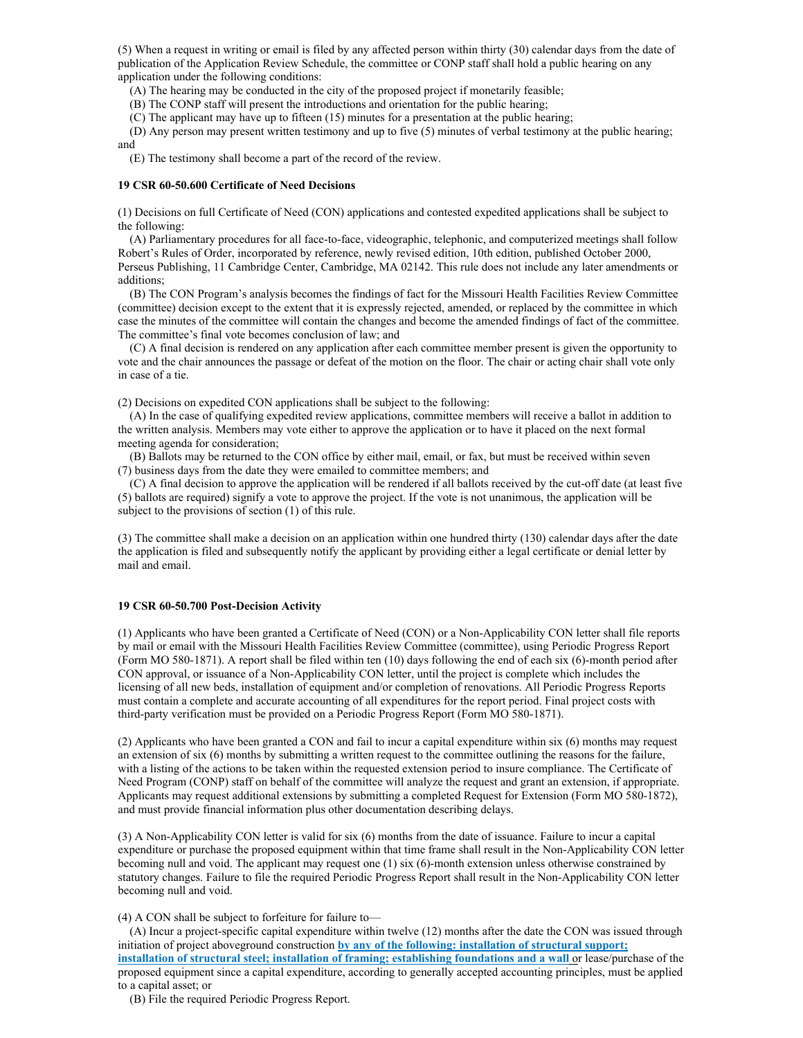(5) When a request in writing or email is filed by any affected person within thirty (30) calendar days from the date of publication of the Application Review Schedule, the committee or CONP staff shall hold a public hearing on any application under the following conditions:

(A) The hearing may be conducted in the city of the proposed project if monetarily feasible;

(B) The CONP staff will present the introductions and orientation for the public hearing;

(C) The applicant may have up to fifteen (15) minutes for a presentation at the public hearing;

(D) Any person may present written testimony and up to five (5) minutes of verbal testimony at the public hearing; and

(E) The testimony shall become a part of the record of the review.

#### **19 CSR 60-50.600 Certificate of Need Decisions**

(1) Decisions on full Certificate of Need (CON) applications and contested expedited applications shall be subject to the following:

(A) Parliamentary procedures for all face-to-face, videographic, telephonic, and computerized meetings shall follow Robert's Rules of Order, incorporated by reference, newly revised edition, 10th edition, published October 2000, Perseus Publishing, 11 Cambridge Center, Cambridge, MA 02142. This rule does not include any later amendments or additions;

(B) The CON Program's analysis becomes the findings of fact for the Missouri Health Facilities Review Committee (committee) decision except to the extent that it is expressly rejected, amended, or replaced by the committee in which case the minutes of the committee will contain the changes and become the amended findings of fact of the committee. The committee's final vote becomes conclusion of law; and

(C) A final decision is rendered on any application after each committee member present is given the opportunity to vote and the chair announces the passage or defeat of the motion on the floor. The chair or acting chair shall vote only in case of a tie.

(2) Decisions on expedited CON applications shall be subject to the following:

(A) In the case of qualifying expedited review applications, committee members will receive a ballot in addition to the written analysis. Members may vote either to approve the application or to have it placed on the next formal meeting agenda for consideration;

(B) Ballots may be returned to the CON office by either mail, email, or fax, but must be received within seven (7) business days from the date they were emailed to committee members; and

(C) A final decision to approve the application will be rendered if all ballots received by the cut-off date (at least five (5) ballots are required) signify a vote to approve the project. If the vote is not unanimous, the application will be subject to the provisions of section (1) of this rule.

(3) The committee shall make a decision on an application within one hundred thirty (130) calendar days after the date the application is filed and subsequently notify the applicant by providing either a legal certificate or denial letter by mail and email.

#### **19 CSR 60-50.700 Post-Decision Activity**

(1) Applicants who have been granted a Certificate of Need (CON) or a Non-Applicability CON letter shall file reports by mail or email with the Missouri Health Facilities Review Committee (committee), using Periodic Progress Report (Form MO 580-1871). A report shall be filed within ten (10) days following the end of each six (6)-month period after CON approval, or issuance of a Non-Applicability CON letter, until the project is complete which includes the licensing of all new beds, installation of equipment and/or completion of renovations. All Periodic Progress Reports must contain a complete and accurate accounting of all expenditures for the report period. Final project costs with third-party verification must be provided on a Periodic Progress Report (Form MO 580-1871).

(2) Applicants who have been granted a CON and fail to incur a capital expenditure within six (6) months may request an extension of six (6) months by submitting a written request to the committee outlining the reasons for the failure, with a listing of the actions to be taken within the requested extension period to insure compliance. The Certificate of Need Program (CONP) staff on behalf of the committee will analyze the request and grant an extension, if appropriate. Applicants may request additional extensions by submitting a completed Request for Extension (Form MO 580-1872), and must provide financial information plus other documentation describing delays.

(3) A Non-Applicability CON letter is valid for six (6) months from the date of issuance. Failure to incur a capital expenditure or purchase the proposed equipment within that time frame shall result in the Non-Applicability CON letter becoming null and void. The applicant may request one (1) six (6)-month extension unless otherwise constrained by statutory changes. Failure to file the required Periodic Progress Report shall result in the Non-Applicability CON letter becoming null and void.

(4) A CON shall be subject to forfeiture for failure to—

(A) Incur a project-specific capital expenditure within twelve (12) months after the date the CON was issued through initiation of project aboveground construction **by any of the following: installation of structural support; installation of structural steel; installation of framing; establishing foundations and a wall** or lease/purchase of the proposed equipment since a capital expenditure, according to generally accepted accounting principles, must be applied to a capital asset; or

(B) File the required Periodic Progress Report.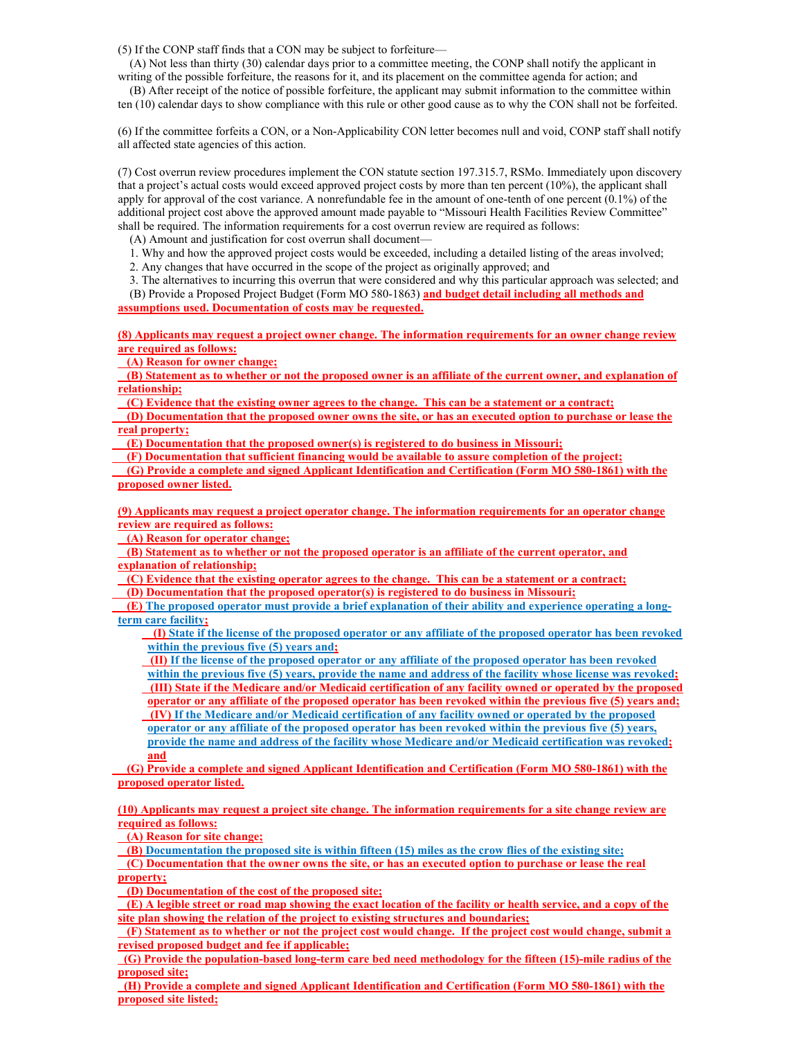(5) If the CONP staff finds that a CON may be subject to forfeiture—

(A) Not less than thirty (30) calendar days prior to a committee meeting, the CONP shall notify the applicant in writing of the possible forfeiture, the reasons for it, and its placement on the committee agenda for action; and

(B) After receipt of the notice of possible forfeiture, the applicant may submit information to the committee within ten (10) calendar days to show compliance with this rule or other good cause as to why the CON shall not be forfeited.

(6) If the committee forfeits a CON, or a Non-Applicability CON letter becomes null and void, CONP staff shall notify all affected state agencies of this action.

(7) Cost overrun review procedures implement the CON statute section 197.315.7, RSMo. Immediately upon discovery that a project's actual costs would exceed approved project costs by more than ten percent (10%), the applicant shall apply for approval of the cost variance. A nonrefundable fee in the amount of one-tenth of one percent  $(0.1\%)$  of the additional project cost above the approved amount made payable to "Missouri Health Facilities Review Committee" shall be required. The information requirements for a cost overrun review are required as follows:

(A) Amount and justification for cost overrun shall document—

1. Why and how the approved project costs would be exceeded, including a detailed listing of the areas involved;

2. Any changes that have occurred in the scope of the project as originally approved; and

3. The alternatives to incurring this overrun that were considered and why this particular approach was selected; and (B) Provide a Proposed Project Budget (Form MO 580-1863) **and budget detail including all methods and** 

**assumptions used. Documentation of costs may be requested.**

**(8) Applicants may request a project owner change. The information requirements for an owner change review are required as follows:**

 **(A) Reason for owner change;**

 **(B) Statement as to whether or not the proposed owner is an affiliate of the current owner, and explanation of relationship;**

 **(C) Evidence that the existing owner agrees to the change. This can be a statement or a contract;**

 **(D) Documentation that the proposed owner owns the site, or has an executed option to purchase or lease the real property;**

 **(E) Documentation that the proposed owner(s) is registered to do business in Missouri;**

 **(F) Documentation that sufficient financing would be available to assure completion of the project;**

 **(G) Provide a complete and signed Applicant Identification and Certification (Form MO 580-1861) with the proposed owner listed.**

**(9) Applicants may request a project operator change. The information requirements for an operator change review are required as follows:**

 **(A) Reason for operator change;**

 **(B) Statement as to whether or not the proposed operator is an affiliate of the current operator, and explanation of relationship;**

 **(C) Evidence that the existing operator agrees to the change. This can be a statement or a contract;**

 **(D) Documentation that the proposed operator(s) is registered to do business in Missouri;**

 **(E) The proposed operator must provide a brief explanation of their ability and experience operating a longterm care facility;**

 **(I) State if the license of the proposed operator or any affiliate of the proposed operator has been revoked within the previous five (5) years and;** 

 **(II) If the license of the proposed operator or any affiliate of the proposed operator has been revoked within the previous five (5) years, provide the name and address of the facility whose license was revoked; (III) State if the Medicare and/or Medicaid certification of any facility owned or operated by the proposed operator or any affiliate of the proposed operator has been revoked within the previous five (5) years and; (IV) If the Medicare and/or Medicaid certification of any facility owned or operated by the proposed operator or any affiliate of the proposed operator has been revoked within the previous five (5) years, provide the name and address of the facility whose Medicare and/or Medicaid certification was revoked; and**

 **(G) Provide a complete and signed Applicant Identification and Certification (Form MO 580-1861) with the proposed operator listed.**

**(10) Applicants may request a project site change. The information requirements for a site change review are required as follows:**

 **(A) Reason for site change;**

 **(B) Documentation the proposed site is within fifteen (15) miles as the crow flies of the existing site;**

 **(C) Documentation that the owner owns the site, or has an executed option to purchase or lease the real property;** 

 **(D) Documentation of the cost of the proposed site;**

 **(E) A legible street or road map showing the exact location of the facility or health service, and a copy of the site plan showing the relation of the project to existing structures and boundaries;**

 **(F) Statement as to whether or not the project cost would change. If the project cost would change, submit a revised proposed budget and fee if applicable;**

**(G) Provide the population-based long-term care bed need methodology for the fifteen (15)-mile radius of the proposed site;** 

**(H) Provide a complete and signed Applicant Identification and Certification (Form MO 580-1861) with the proposed site listed;**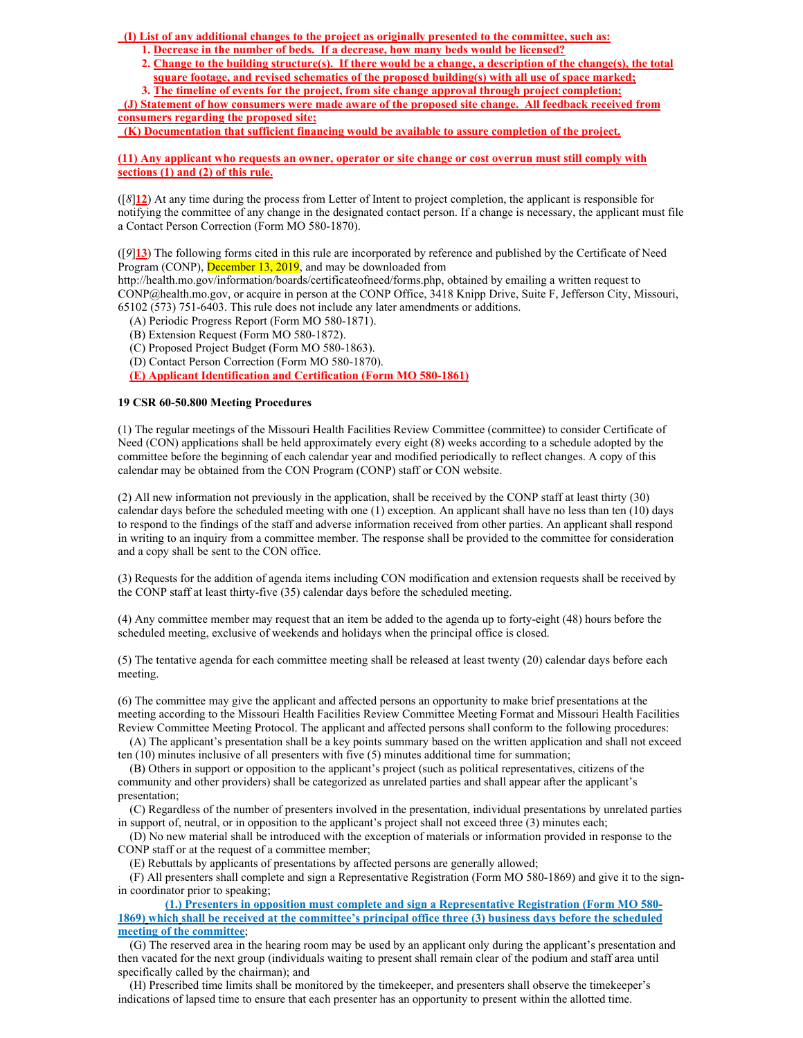**(I) List of any additional changes to the project as originally presented to the committee, such as:**

- **1. Decrease in the number of beds. If a decrease, how many beds would be licensed?**
- **2. Change to the building structure(s). If there would be a change, a description of the change(s), the total square footage, and revised schematics of the proposed building(s) with all use of space marked;**

**3. The timeline of events for the project, from site change approval through project completion; (J) Statement of how consumers were made aware of the proposed site change. All feedback received from consumers regarding the proposed site;**

**(K) Documentation that sufficient financing would be available to assure completion of the project.**

**(11) Any applicant who requests an owner, operator or site change or cost overrun must still comply with sections (1) and (2) of this rule.**

([*8*]**12**) At any time during the process from Letter of Intent to project completion, the applicant is responsible for notifying the committee of any change in the designated contact person. If a change is necessary, the applicant must file a Contact Person Correction (Form MO 580-1870).

([*9*]**13**) The following forms cited in this rule are incorporated by reference and published by the Certificate of Need Program (CONP), December 13, 2019, and may be downloaded from

http://health.mo.gov/information/boards/certificateofneed/forms.php, obtained by emailing a written request to CONP@health.mo.gov, or acquire in person at the CONP Office, 3418 Knipp Drive, Suite F, Jefferson City, Missouri, 65102 (573) 751-6403. This rule does not include any later amendments or additions.

(A) Periodic Progress Report (Form MO 580-1871).

- (B) Extension Request (Form MO 580-1872).
- (C) Proposed Project Budget (Form MO 580-1863).
- (D) Contact Person Correction (Form MO 580-1870).

**(E) Applicant Identification and Certification (Form MO 580-1861)**

# **19 CSR 60-50.800 Meeting Procedures**

(1) The regular meetings of the Missouri Health Facilities Review Committee (committee) to consider Certificate of Need (CON) applications shall be held approximately every eight (8) weeks according to a schedule adopted by the committee before the beginning of each calendar year and modified periodically to reflect changes. A copy of this calendar may be obtained from the CON Program (CONP) staff or CON website.

(2) All new information not previously in the application, shall be received by the CONP staff at least thirty (30) calendar days before the scheduled meeting with one (1) exception. An applicant shall have no less than ten (10) days to respond to the findings of the staff and adverse information received from other parties. An applicant shall respond in writing to an inquiry from a committee member. The response shall be provided to the committee for consideration and a copy shall be sent to the CON office.

(3) Requests for the addition of agenda items including CON modification and extension requests shall be received by the CONP staff at least thirty-five (35) calendar days before the scheduled meeting.

(4) Any committee member may request that an item be added to the agenda up to forty-eight (48) hours before the scheduled meeting, exclusive of weekends and holidays when the principal office is closed.

(5) The tentative agenda for each committee meeting shall be released at least twenty (20) calendar days before each meeting.

(6) The committee may give the applicant and affected persons an opportunity to make brief presentations at the meeting according to the Missouri Health Facilities Review Committee Meeting Format and Missouri Health Facilities Review Committee Meeting Protocol. The applicant and affected persons shall conform to the following procedures:

(A) The applicant's presentation shall be a key points summary based on the written application and shall not exceed ten (10) minutes inclusive of all presenters with five (5) minutes additional time for summation;

(B) Others in support or opposition to the applicant's project (such as political representatives, citizens of the community and other providers) shall be categorized as unrelated parties and shall appear after the applicant's presentation;

(C) Regardless of the number of presenters involved in the presentation, individual presentations by unrelated parties in support of, neutral, or in opposition to the applicant's project shall not exceed three (3) minutes each;

(D) No new material shall be introduced with the exception of materials or information provided in response to the CONP staff or at the request of a committee member;

(E) Rebuttals by applicants of presentations by affected persons are generally allowed;

(F) All presenters shall complete and sign a Representative Registration (Form MO 580-1869) and give it to the signin coordinator prior to speaking;

**(1.) Presenters in opposition must complete and sign a Representative Registration (Form MO 580- 1869) which shall be received at the committee's principal office three (3) business days before the scheduled meeting of the committee**;

(G) The reserved area in the hearing room may be used by an applicant only during the applicant's presentation and then vacated for the next group (individuals waiting to present shall remain clear of the podium and staff area until specifically called by the chairman); and

(H) Prescribed time limits shall be monitored by the timekeeper, and presenters shall observe the timekeeper's indications of lapsed time to ensure that each presenter has an opportunity to present within the allotted time.